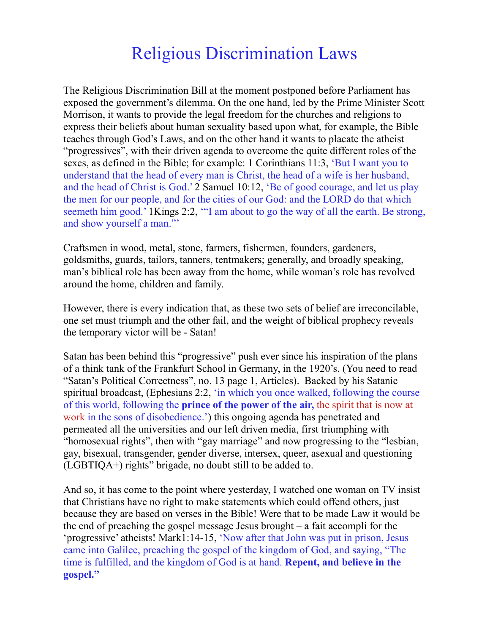## Religious Discrimination Laws

The Religious Discrimination Bill at the moment postponed before Parliament has exposed the government's dilemma. On the one hand, led by the Prime Minister Scott Morrison, it wants to provide the legal freedom for the churches and religions to express their beliefs about human sexuality based upon what, for example, the Bible teaches through God's Laws, and on the other hand it wants to placate the atheist "progressives", with their driven agenda to overcome the quite different roles of the sexes, as defined in the Bible; for example: 1 Corinthians 11:3, 'But I want you to understand that the head of every man is Christ, the head of a wife is her husband, and the head of Christ is God.' 2 Samuel 10:12, 'Be of good courage, and let us play the men for our people, and for the cities of our God: and the LORD do that which seemeth him good.' 1Kings 2:2, '"I am about to go the way of all the earth. Be strong, and show yourself a man."'

Craftsmen in wood, metal, stone, farmers, fishermen, founders, gardeners, goldsmiths, guards, tailors, tanners, tentmakers; generally, and broadly speaking, man's biblical role has been away from the home, while woman's role has revolved around the home, children and family.

However, there is every indication that, as these two sets of belief are irreconcilable, one set must triumph and the other fail, and the weight of biblical prophecy reveals the temporary victor will be - Satan!

Satan has been behind this "progressive" push ever since his inspiration of the plans of a think tank of the Frankfurt School in Germany, in the 1920's. (You need to read "Satan's Political Correctness", no. 13 page 1, Articles). Backed by his Satanic spiritual broadcast, (Ephesians 2:2, 'in which you once walked, following the course of this world, following the **prince of the power of the air,** the spirit that is now at work in the sons of disobedience.') this ongoing agenda has penetrated and permeated all the universities and our left driven media, first triumphing with "homosexual rights", then with "gay marriage" and now progressing to the "lesbian, gay, bisexual, transgender, gender diverse, intersex, queer, asexual and questioning (LGBTIQA+) rights" brigade, no doubt still to be added to.

And so, it has come to the point where yesterday, I watched one woman on TV insist that Christians have no right to make statements which could offend others, just because they are based on verses in the Bible! Were that to be made Law it would be the end of preaching the gospel message Jesus brought – a fait accompli for the 'progressive' atheists! Mark1:14-15, 'Now after that John was put in prison, Jesus came into Galilee, preaching the gospel of the kingdom of God, and saying, "The time is fulfilled, and the kingdom of God is at hand. **Repent, and believe in the gospel."**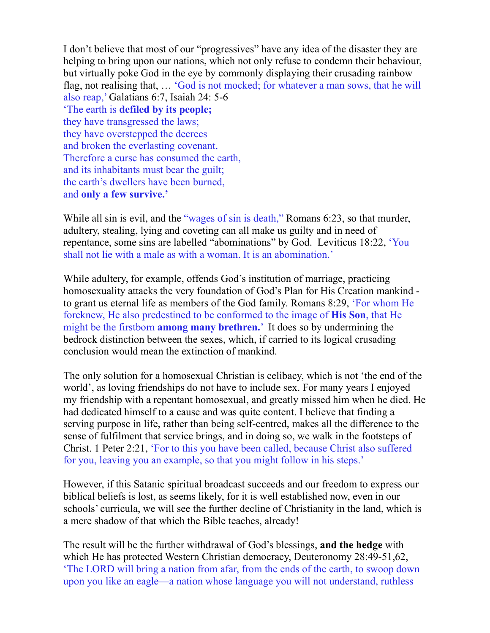I don't believe that most of our "progressives" have any idea of the disaster they are helping to bring upon our nations, which not only refuse to condemn their behaviour, but virtually poke God in the eye by commonly displaying their crusading rainbow flag, not realising that, … 'God is not mocked; for whatever a man sows, that he will also reap,' Galatians 6:7, Isaiah 24: 5-6 'The earth is **defiled by its people;** they have transgressed the laws; they have overstepped the decrees and broken the everlasting covenant. Therefore a curse has consumed the earth, and its inhabitants must bear the guilt; the earth's dwellers have been burned, and **only a few survive.'**

While all sin is evil, and the "wages of sin is death," Romans 6:23, so that murder, adultery, stealing, lying and coveting can all make us guilty and in need of repentance, some sins are labelled "abominations" by God. Leviticus 18:22, 'You shall not lie with a male as with a woman. It is an abomination.'

While adultery, for example, offends God's institution of marriage, practicing homosexuality attacks the very foundation of God's Plan for His Creation mankind to grant us eternal life as members of the God family. Romans 8:29, 'For whom He foreknew, He also predestined to be conformed to the image of **His Son**, that He might be the firstborn **among many brethren.**' It does so by undermining the bedrock distinction between the sexes, which, if carried to its logical crusading conclusion would mean the extinction of mankind.

The only solution for a homosexual Christian is celibacy, which is not 'the end of the world', as loving friendships do not have to include sex. For many years I enjoyed my friendship with a repentant homosexual, and greatly missed him when he died. He had dedicated himself to a cause and was quite content. I believe that finding a serving purpose in life, rather than being self-centred, makes all the difference to the sense of fulfilment that service brings, and in doing so, we walk in the footsteps of Christ. 1 Peter 2:21, 'For to this you have been called, because Christ also suffered for you, leaving you an example, so that you might follow in his steps.'

However, if this Satanic spiritual broadcast succeeds and our freedom to express our biblical beliefs is lost, as seems likely, for it is well established now, even in our schools' curricula, we will see the further decline of Christianity in the land, which is a mere shadow of that which the Bible teaches, already!

The result will be the further withdrawal of God's blessings, **and the hedge** with which He has protected Western Christian democracy, Deuteronomy 28:49-51,62, 'The LORD will bring a nation from afar, from the ends of the earth, to swoop down upon you like an eagle—a nation whose language you will not understand, ruthless